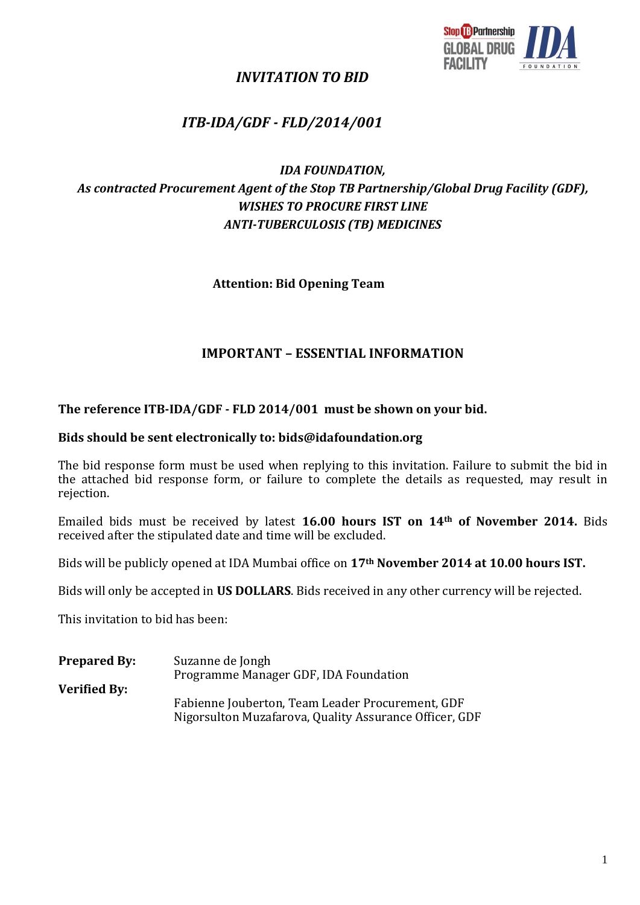

## *INVITATION TO BID*

# *ITB-IDA/GDF - FLD/2014/001*

## *IDA FOUNDATION, As contracted Procurement Agent of the Stop TB Partnership/Global Drug Facility (GDF), WISHES TO PROCURE FIRST LINE ANTI-TUBERCULOSIS (TB) MEDICINES*

**Attention: Bid Opening Team**

## **IMPORTANT – ESSENTIAL INFORMATION**

#### **The reference ITB-IDA/GDF - FLD 2014/001 must be shown on your bid.**

#### **Bids should be sent electronically to: bids@idafoundation.org**

The bid response form must be used when replying to this invitation. Failure to submit the bid in the attached bid response form, or failure to complete the details as requested, may result in rejection.

Emailed bids must be received by latest **16.00 hours IST on 14th of November 2014.** Bids received after the stipulated date and time will be excluded.

Bids will be publicly opened at IDA Mumbai office on **17th November 2014 at 10.00 hours IST.**

Bids will only be accepted in **US DOLLARS**. Bids received in any other currency will be rejected.

This invitation to bid has been:

| <b>Prepared By:</b> | Suzanne de Jongh                                                                                           |
|---------------------|------------------------------------------------------------------------------------------------------------|
|                     | Programme Manager GDF, IDA Foundation                                                                      |
| <b>Verified By:</b> |                                                                                                            |
|                     | Fabienne Jouberton, Team Leader Procurement, GDF<br>Nigorsulton Muzafarova, Quality Assurance Officer, GDF |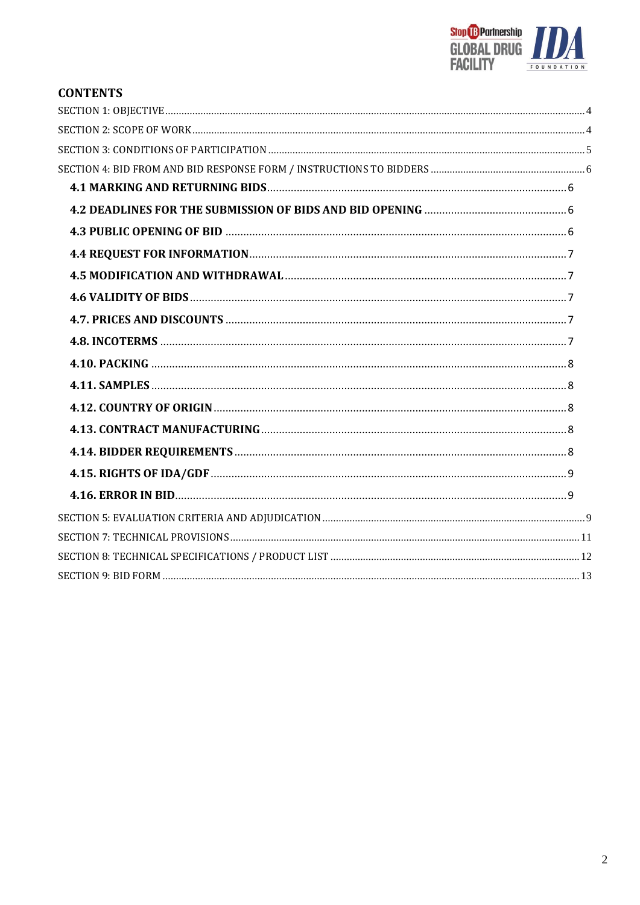

# **CONTENTS**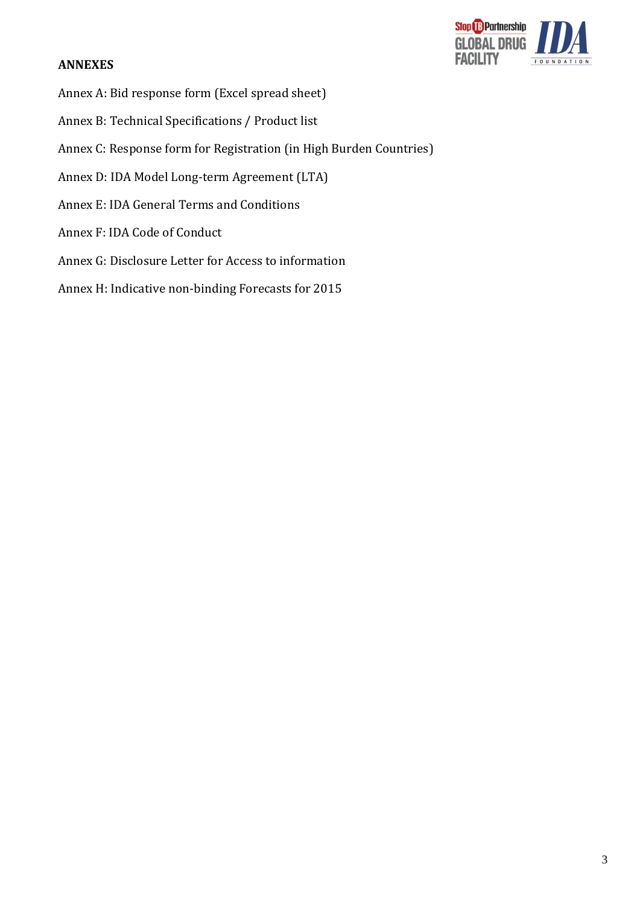### **ANNEXES**



- Annex A: Bid response form (Excel spread sheet)
- Annex B: Technical Specifications / Product list
- Annex C: Response form for Registration (in High Burden Countries)
- Annex D: IDA Model Long-term Agreement (LTA)
- Annex E: IDA General Terms and Conditions
- Annex F: IDA Code of Conduct
- Annex G: Disclosure Letter for Access to information
- Annex H: Indicative non-binding Forecasts for 2015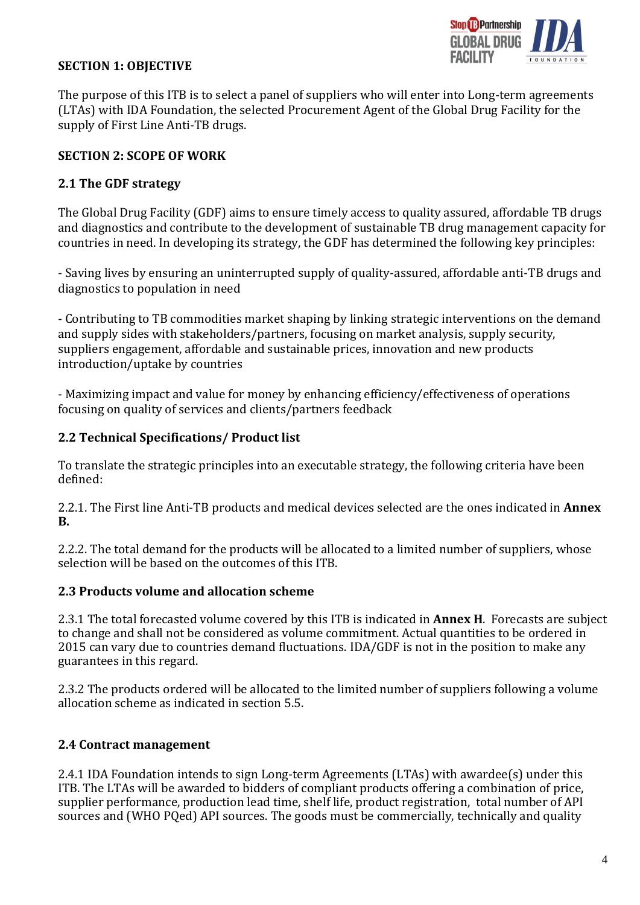

### <span id="page-3-0"></span>**SECTION 1: OBJECTIVE**

The purpose of this ITB is to select a panel of suppliers who will enter into Long-term agreements (LTAs) with IDA Foundation, the selected Procurement Agent of the Global Drug Facility for the supply of First Line Anti-TB drugs.

### <span id="page-3-1"></span>**SECTION 2: SCOPE OF WORK**

### **2.1 The GDF strategy**

The Global Drug Facility (GDF) aims to ensure timely access to quality assured, affordable TB drugs and diagnostics and contribute to the development of sustainable TB drug management capacity for countries in need. In developing its strategy, the GDF has determined the following key principles:

- Saving lives by ensuring an uninterrupted supply of quality-assured, affordable anti-TB drugs and diagnostics to population in need

- Contributing to TB commodities market shaping by linking strategic interventions on the demand and supply sides with stakeholders/partners, focusing on market analysis, supply security, suppliers engagement, affordable and sustainable prices, innovation and new products introduction/uptake by countries

- Maximizing impact and value for money by enhancing efficiency/effectiveness of operations focusing on quality of services and clients/partners feedback

## **2.2 Technical Specifications/ Product list**

To translate the strategic principles into an executable strategy, the following criteria have been defined:

2.2.1. The First line Anti-TB products and medical devices selected are the ones indicated in **Annex B.**

2.2.2. The total demand for the products will be allocated to a limited number of suppliers, whose selection will be based on the outcomes of this ITB.

### **2.3 Products volume and allocation scheme**

2.3.1 The total forecasted volume covered by this ITB is indicated in **Annex H**. Forecasts are subject to change and shall not be considered as volume commitment. Actual quantities to be ordered in 2015 can vary due to countries demand fluctuations. IDA/GDF is not in the position to make any guarantees in this regard.

2.3.2 The products ordered will be allocated to the limited number of suppliers following a volume allocation scheme as indicated in section 5.5.

## **2.4 Contract management**

2.4.1 IDA Foundation intends to sign Long-term Agreements (LTAs) with awardee(s) under this ITB. The LTAs will be awarded to bidders of compliant products offering a combination of price, supplier performance, production lead time, shelf life, product registration, total number of API sources and (WHO PQed) API sources. The goods must be commercially, technically and quality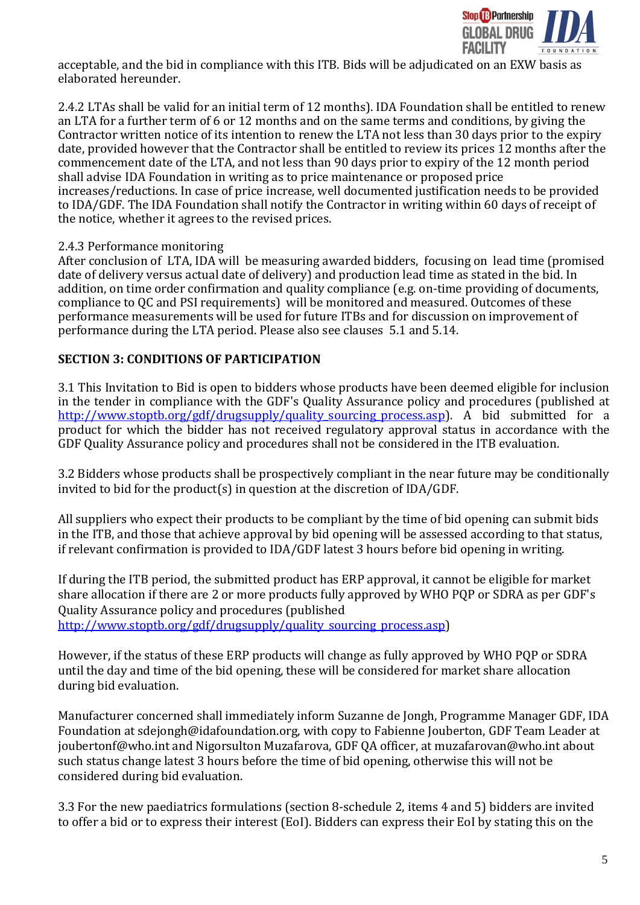

acceptable, and the bid in compliance with this ITB. Bids will be adjudicated on an EXW basis as elaborated hereunder.

2.4.2 LTAs shall be valid for an initial term of 12 months). IDA Foundation shall be entitled to renew an LTA for a further term of 6 or 12 months and on the same terms and conditions, by giving the Contractor written notice of its intention to renew the LTA not less than 30 days prior to the expiry date, provided however that the Contractor shall be entitled to review its prices 12 months after the commencement date of the LTA, and not less than 90 days prior to expiry of the 12 month period shall advise IDA Foundation in writing as to price maintenance or proposed price increases/reductions. In case of price increase, well documented justification needs to be provided to IDA/GDF. The IDA Foundation shall notify the Contractor in writing within 60 days of receipt of the notice, whether it agrees to the revised prices.

### 2.4.3 Performance monitoring

After conclusion of LTA, IDA will be measuring awarded bidders, focusing on lead time (promised date of delivery versus actual date of delivery) and production lead time as stated in the bid. In addition, on time order confirmation and quality compliance (e.g. on-time providing of documents, compliance to QC and PSI requirements) will be monitored and measured. Outcomes of these performance measurements will be used for future ITBs and for discussion on improvement of performance during the LTA period. Please also see clauses 5.1 and 5.14.

### <span id="page-4-0"></span>**SECTION 3: CONDITIONS OF PARTICIPATION**

3.1 This Invitation to Bid is open to bidders whose products have been deemed eligible for inclusion in the tender in compliance with the GDF's Quality Assurance policy and procedures (published at http://www.stoptb.org/gdf/drugsupply/quality sourcing process.asp). A bid submitted for a product for which the bidder has not received regulatory approval status in accordance with the GDF Quality Assurance policy and procedures shall not be considered in the ITB evaluation.

3.2 Bidders whose products shall be prospectively compliant in the near future may be conditionally invited to bid for the product(s) in question at the discretion of IDA/GDF.

All suppliers who expect their products to be compliant by the time of bid opening can submit bids in the ITB, and those that achieve approval by bid opening will be assessed according to that status, if relevant confirmation is provided to IDA/GDF latest 3 hours before bid opening in writing.

If during the ITB period, the submitted product has ERP approval, it cannot be eligible for market share allocation if there are 2 or more products fully approved by WHO PQP or SDRA as per GDF's Quality Assurance policy and procedures (published [http://www.stoptb.org/gdf/drugsupply/quality\\_sourcing\\_process.asp\)](http://www.stoptb.org/gdf/drugsupply/quality_sourcing_process.asp)

However, if the status of these ERP products will change as fully approved by WHO PQP or SDRA until the day and time of the bid opening, these will be considered for market share allocation during bid evaluation.

Manufacturer concerned shall immediately inform Suzanne de Jongh, Programme Manager GDF, IDA Foundation at sdejongh@idafoundation.org, with copy to Fabienne Jouberton, GDF Team Leader at joubertonf@who.int and Nigorsulton Muzafarova, GDF QA officer, at muzafarovan@who.int about such status change latest 3 hours before the time of bid opening, otherwise this will not be considered during bid evaluation.

3.3 For the new paediatrics formulations (section 8-schedule 2, items 4 and 5) bidders are invited to offer a bid or to express their interest (EoI). Bidders can express their EoI by stating this on the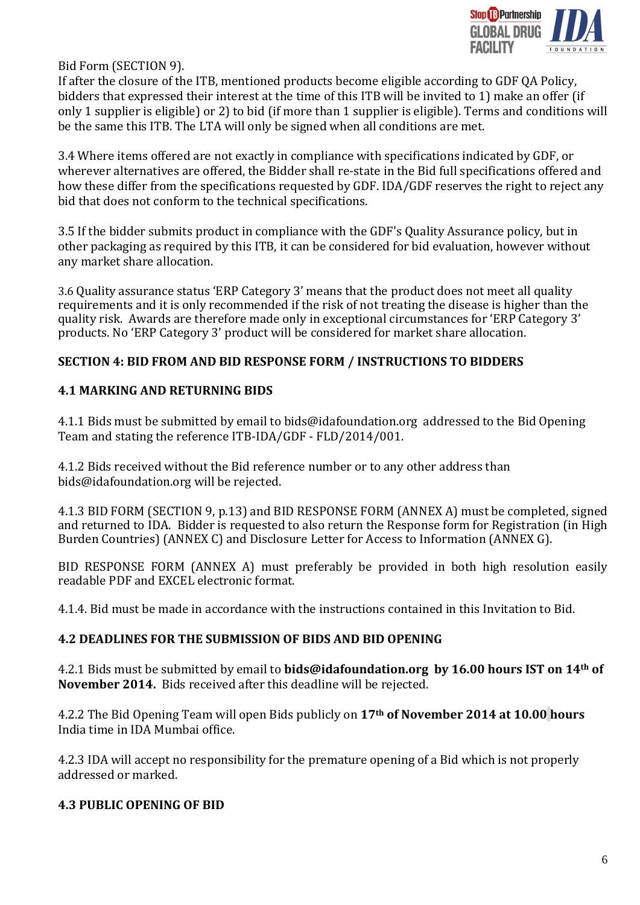

Bid Form (SECTION 9).

If after the closure of the ITB, mentioned products become eligible according to GDF QA Policy, bidders that expressed their interest at the time of this ITB will be invited to 1) make an offer (if only 1 supplier is eligible) or 2) to bid (if more than 1 supplier is eligible). Terms and conditions will be the same this ITB. The LTA will only be signed when all conditions are met.

3.4 Where items offered are not exactly in compliance with specifications indicated by GDF, or wherever alternatives are offered, the Bidder shall re-state in the Bid full specifications offered and how these differ from the specifications requested by GDF. IDA/GDF reserves the right to reject any bid that does not conform to the technical specifications.

3.5 If the bidder submits product in compliance with the GDF's Quality Assurance policy, but in other packaging as required by this ITB, it can be considered for bid evaluation, however without any market share allocation.

3.6 Quality assurance status 'ERP Category 3' means that the product does not meet all quality requirements and it is only recommended if the risk of not treating the disease is higher than the quality risk. Awards are therefore made only in exceptional circumstances for 'ERP Category 3' products. No 'ERP Category 3' product will be considered for market share allocation.

### <span id="page-5-0"></span>**SECTION 4: BID FROM AND BID RESPONSE FORM / INSTRUCTIONS TO BIDDERS**

### <span id="page-5-1"></span>**4.1 MARKING AND RETURNING BIDS**

4.1.1 Bids must be submitted by email to bids@idafoundation.org addressed to the Bid Opening Team and stating the reference ITB-IDA/GDF - FLD/2014/001.

4.1.2 Bids received without the Bid reference number or to any other address than bids@idafoundation.org will be rejected.

4.1.3 BID FORM (SECTION 9, p.13) and BID RESPONSE FORM (ANNEX A) must be completed, signed and returned to IDA. Bidder is requested to also return the Response form for Registration (in High Burden Countries) (ANNEX C) and Disclosure Letter for Access to Information (ANNEX G).

BID RESPONSE FORM (ANNEX A) must preferably be provided in both high resolution easily readable PDF and EXCEL electronic format.

4.1.4. Bid must be made in accordance with the instructions contained in this Invitation to Bid.

### <span id="page-5-2"></span>**4.2 DEADLINES FOR THE SUBMISSION OF BIDS AND BID OPENING**

4.2.1 Bids must be submitted by email to **bids@idafoundation.org by 16.00 hours IST on 14th of November 2014.** Bids received after this deadline will be rejected.

4.2.2 The Bid Opening Team will open Bids publicly on **17th of November 2014 at 10.00 hours** India time in IDA Mumbai office.

4.2.3 IDA will accept no responsibility for the premature opening of a Bid which is not properly addressed or marked.

### <span id="page-5-3"></span>**4.3 PUBLIC OPENING OF BID**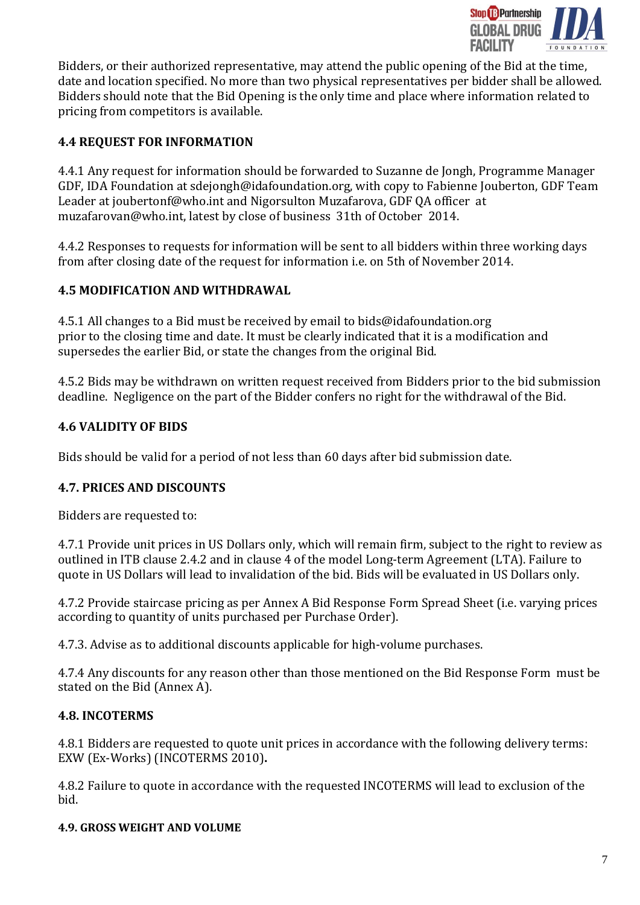

Bidders, or their authorized representative, may attend the public opening of the Bid at the time, date and location specified. No more than two physical representatives per bidder shall be allowed. Bidders should note that the Bid Opening is the only time and place where information related to pricing from competitors is available.

## <span id="page-6-0"></span>**4.4 REQUEST FOR INFORMATION**

4.4.1 Any request for information should be forwarded to Suzanne de Jongh, Programme Manager GDF, IDA Foundation at sdejongh@idafoundation.org, with copy to Fabienne Jouberton, GDF Team Leader at joubertonf@who.int and Nigorsulton Muzafarova, GDF QA officer at muzafarovan@who.int, latest by close of business 31th of October 2014.

4.4.2 Responses to requests for information will be sent to all bidders within three working days from after closing date of the request for information i.e. on 5th of November 2014.

### <span id="page-6-1"></span>**4.5 MODIFICATION AND WITHDRAWAL**

4.5.1 All changes to a Bid must be received by email to bids@idafoundation.org prior to the closing time and date. It must be clearly indicated that it is a modification and supersedes the earlier Bid, or state the changes from the original Bid.

4.5.2 Bids may be withdrawn on written request received from Bidders prior to the bid submission deadline. Negligence on the part of the Bidder confers no right for the withdrawal of the Bid.

## <span id="page-6-2"></span>**4.6 VALIDITY OF BIDS**

Bids should be valid for a period of not less than 60 days after bid submission date.

## <span id="page-6-3"></span>**4.7. PRICES AND DISCOUNTS**

Bidders are requested to:

4.7.1 Provide unit prices in US Dollars only, which will remain firm, subject to the right to review as outlined in ITB clause 2.4.2 and in clause 4 of the model Long-term Agreement (LTA). Failure to quote in US Dollars will lead to invalidation of the bid. Bids will be evaluated in US Dollars only.

4.7.2 Provide staircase pricing as per Annex A Bid Response Form Spread Sheet (i.e. varying prices according to quantity of units purchased per Purchase Order).

4.7.3. Advise as to additional discounts applicable for high-volume purchases.

4.7.4 Any discounts for any reason other than those mentioned on the Bid Response Form must be stated on the Bid (Annex A).

## <span id="page-6-4"></span>**4.8. INCOTERMS**

4.8.1 Bidders are requested to quote unit prices in accordance with the following delivery terms: EXW (Ex-Works) (INCOTERMS 2010)**.** 

4.8.2 Failure to quote in accordance with the requested INCOTERMS will lead to exclusion of the bid.

### **4.9. GROSS WEIGHT AND VOLUME**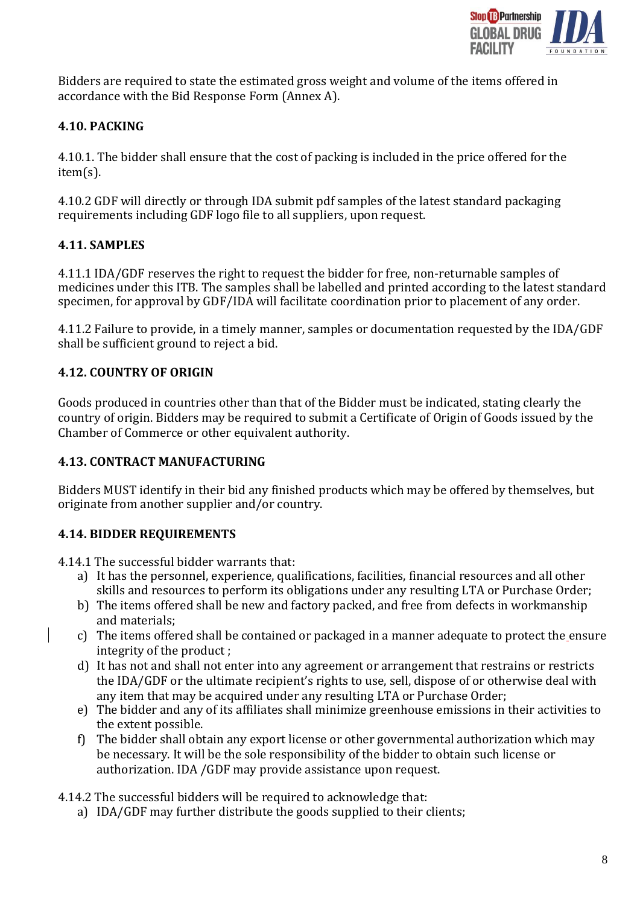

Bidders are required to state the estimated gross weight and volume of the items offered in accordance with the Bid Response Form (Annex A).

## <span id="page-7-0"></span>**4.10. PACKING**

4.10.1. The bidder shall ensure that the cost of packing is included in the price offered for the item(s).

4.10.2 GDF will directly or through IDA submit pdf samples of the latest standard packaging requirements including GDF logo file to all suppliers, upon request.

### <span id="page-7-1"></span>**4.11. SAMPLES**

4.11.1 IDA/GDF reserves the right to request the bidder for free, non-returnable samples of medicines under this ITB. The samples shall be labelled and printed according to the latest standard specimen, for approval by GDF/IDA will facilitate coordination prior to placement of any order.

4.11.2 Failure to provide, in a timely manner, samples or documentation requested by the IDA/GDF shall be sufficient ground to reject a bid.

### <span id="page-7-2"></span>**4.12. COUNTRY OF ORIGIN**

Goods produced in countries other than that of the Bidder must be indicated, stating clearly the country of origin. Bidders may be required to submit a Certificate of Origin of Goods issued by the Chamber of Commerce or other equivalent authority.

### <span id="page-7-3"></span>**4.13. CONTRACT MANUFACTURING**

Bidders MUST identify in their bid any finished products which may be offered by themselves, but originate from another supplier and/or country.

## <span id="page-7-4"></span>**4.14. BIDDER REQUIREMENTS**

4.14.1 The successful bidder warrants that:

- a) It has the personnel, experience, qualifications, facilities, financial resources and all other skills and resources to perform its obligations under any resulting LTA or Purchase Order;
- b) The items offered shall be new and factory packed, and free from defects in workmanship and materials;
- c) The items offered shall be contained or packaged in a manner adequate to protect the ensure integrity of the product ;
- d) It has not and shall not enter into any agreement or arrangement that restrains or restricts the IDA/GDF or the ultimate recipient's rights to use, sell, dispose of or otherwise deal with any item that may be acquired under any resulting LTA or Purchase Order;
- e) The bidder and any of its affiliates shall minimize greenhouse emissions in their activities to the extent possible.
- f) The bidder shall obtain any export license or other governmental authorization which may be necessary. It will be the sole responsibility of the bidder to obtain such license or authorization. IDA /GDF may provide assistance upon request.

4.14.2 The successful bidders will be required to acknowledge that:

a) IDA/GDF may further distribute the goods supplied to their clients;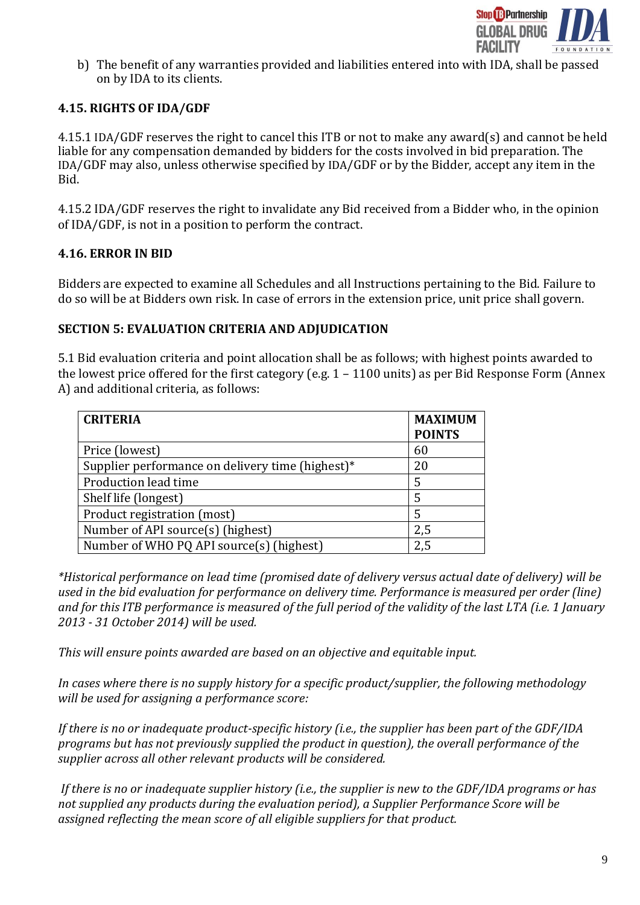

b) The benefit of any warranties provided and liabilities entered into with IDA, shall be passed on by IDA to its clients.

### <span id="page-8-0"></span>**4.15. RIGHTS OF IDA/GDF**

4.15.1 IDA/GDF reserves the right to cancel this ITB or not to make any award(s) and cannot be held liable for any compensation demanded by bidders for the costs involved in bid preparation. The IDA/GDF may also, unless otherwise specified by IDA/GDF or by the Bidder, accept any item in the Bid.

4.15.2 IDA/GDF reserves the right to invalidate any Bid received from a Bidder who, in the opinion of IDA/GDF, is not in a position to perform the contract.

### <span id="page-8-1"></span>**4.16. ERROR IN BID**

Bidders are expected to examine all Schedules and all Instructions pertaining to the Bid. Failure to do so will be at Bidders own risk. In case of errors in the extension price, unit price shall govern.

#### <span id="page-8-2"></span>**SECTION 5: EVALUATION CRITERIA AND ADJUDICATION**

5.1 Bid evaluation criteria and point allocation shall be as follows; with highest points awarded to the lowest price offered for the first category (e.g. 1 – 1100 units) as per Bid Response Form (Annex A) and additional criteria, as follows:

| <b>CRITERIA</b>                                  | <b>MAXIMUM</b><br><b>POINTS</b> |
|--------------------------------------------------|---------------------------------|
| Price (lowest)                                   | 60                              |
| Supplier performance on delivery time (highest)* | 20                              |
| Production lead time                             | 5                               |
| Shelf life (longest)                             | 5                               |
| Product registration (most)                      | 5                               |
| Number of API source(s) (highest)                | 2,5                             |
| Number of WHO PQ API source(s) (highest)         | 2,5                             |

*\*Historical performance on lead time (promised date of delivery versus actual date of delivery) will be used in the bid evaluation for performance on delivery time. Performance is measured per order (line) and for this ITB performance is measured of the full period of the validity of the last LTA (i.e. 1 January 2013 - 31 October 2014) will be used.*

*This will ensure points awarded are based on an objective and equitable input.* 

*In cases where there is no supply history for a specific product/supplier, the following methodology will be used for assigning a performance score:*

*If there is no or inadequate product-specific history (i.e., the supplier has been part of the GDF/IDA programs but has not previously supplied the product in question), the overall performance of the supplier across all other relevant products will be considered.*

*If there is no or inadequate supplier history (i.e., the supplier is new to the GDF/IDA programs or has not supplied any products during the evaluation period), a Supplier Performance Score will be assigned reflecting the mean score of all eligible suppliers for that product.*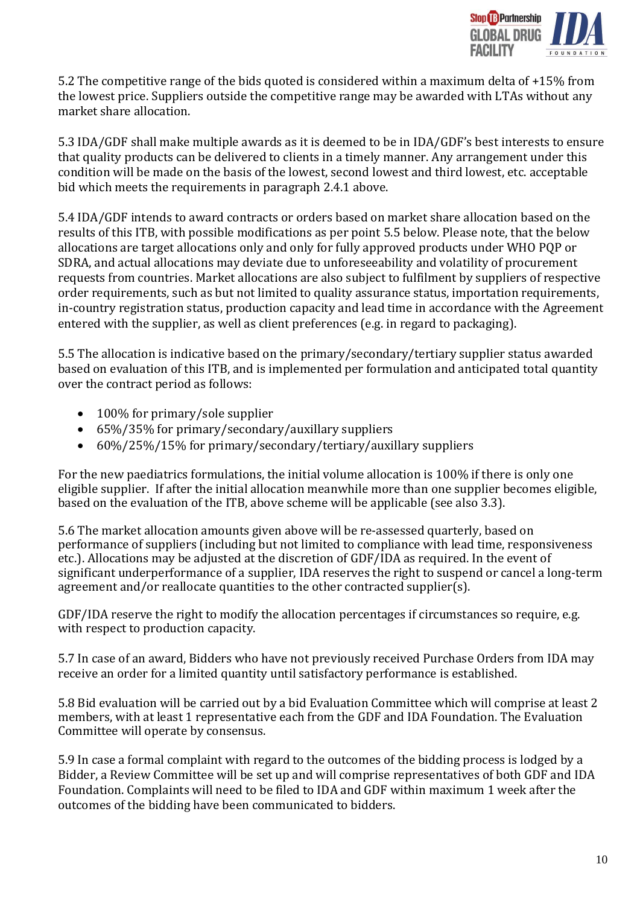

5.2 The competitive range of the bids quoted is considered within a maximum delta of +15% from the lowest price. Suppliers outside the competitive range may be awarded with LTAs without any market share allocation.

5.3 IDA/GDF shall make multiple awards as it is deemed to be in IDA/GDF's best interests to ensure that quality products can be delivered to clients in a timely manner. Any arrangement under this condition will be made on the basis of the lowest, second lowest and third lowest, etc. acceptable bid which meets the requirements in paragraph 2.4.1 above.

5.4 IDA/GDF intends to award contracts or orders based on market share allocation based on the results of this ITB, with possible modifications as per point 5.5 below. Please note, that the below allocations are target allocations only and only for fully approved products under WHO PQP or SDRA, and actual allocations may deviate due to unforeseeability and volatility of procurement requests from countries. Market allocations are also subject to fulfilment by suppliers of respective order requirements, such as but not limited to quality assurance status, importation requirements, in-country registration status, production capacity and lead time in accordance with the Agreement entered with the supplier, as well as client preferences (e.g. in regard to packaging).

5.5 The allocation is indicative based on the primary/secondary/tertiary supplier status awarded based on evaluation of this ITB, and is implemented per formulation and anticipated total quantity over the contract period as follows:

- 100% for primary/sole supplier
- 65%/35% for primary/secondary/auxillary suppliers
- 60%/25%/15% for primary/secondary/tertiary/auxillary suppliers

For the new paediatrics formulations, the initial volume allocation is 100% if there is only one eligible supplier. If after the initial allocation meanwhile more than one supplier becomes eligible, based on the evaluation of the ITB, above scheme will be applicable (see also 3.3).

5.6 The market allocation amounts given above will be re-assessed quarterly, based on performance of suppliers (including but not limited to compliance with lead time, responsiveness etc.). Allocations may be adjusted at the discretion of GDF/IDA as required. In the event of significant underperformance of a supplier, IDA reserves the right to suspend or cancel a long-term agreement and/or reallocate quantities to the other contracted supplier(s).

GDF/IDA reserve the right to modify the allocation percentages if circumstances so require, e.g. with respect to production capacity.

5.7 In case of an award, Bidders who have not previously received Purchase Orders from IDA may receive an order for a limited quantity until satisfactory performance is established.

5.8 Bid evaluation will be carried out by a bid Evaluation Committee which will comprise at least 2 members, with at least 1 representative each from the GDF and IDA Foundation. The Evaluation Committee will operate by consensus.

5.9 In case a formal complaint with regard to the outcomes of the bidding process is lodged by a Bidder, a Review Committee will be set up and will comprise representatives of both GDF and IDA Foundation. Complaints will need to be filed to IDA and GDF within maximum 1 week after the outcomes of the bidding have been communicated to bidders.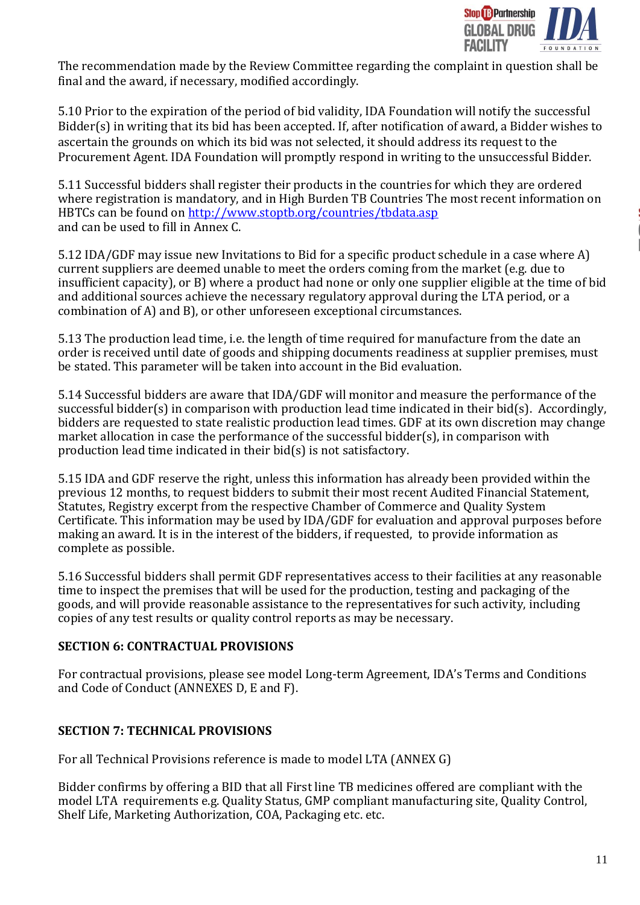

The recommendation made by the Review Committee regarding the complaint in question shall be final and the award, if necessary, modified accordingly.

5.10 Prior to the expiration of the period of bid validity, IDA Foundation will notify the successful Bidder(s) in writing that its bid has been accepted. If, after notification of award, a Bidder wishes to ascertain the grounds on which its bid was not selected, it should address its request to the Procurement Agent. IDA Foundation will promptly respond in writing to the unsuccessful Bidder.

5.11 Successful bidders shall register their products in the countries for which they are ordered where registration is mandatory, and in High Burden TB Countries The most recent information on HBTCs can be found on <http://www.stoptb.org/countries/tbdata.asp> and can be used to fill in Annex C.

5.12 IDA/GDF may issue new Invitations to Bid for a specific product schedule in a case where A) current suppliers are deemed unable to meet the orders coming from the market (e.g. due to insufficient capacity), or B) where a product had none or only one supplier eligible at the time of bid and additional sources achieve the necessary regulatory approval during the LTA period, or a combination of A) and B), or other unforeseen exceptional circumstances.

5.13 The production lead time, i.e. the length of time required for manufacture from the date an order is received until date of goods and shipping documents readiness at supplier premises, must be stated. This parameter will be taken into account in the Bid evaluation.

5.14 Successful bidders are aware that IDA/GDF will monitor and measure the performance of the successful bidder(s) in comparison with production lead time indicated in their bid(s). Accordingly, bidders are requested to state realistic production lead times. GDF at its own discretion may change market allocation in case the performance of the successful bidder(s), in comparison with production lead time indicated in their bid(s) is not satisfactory.

5.15 IDA and GDF reserve the right, unless this information has already been provided within the previous 12 months, to request bidders to submit their most recent Audited Financial Statement, Statutes, Registry excerpt from the respective Chamber of Commerce and Quality System Certificate. This information may be used by IDA/GDF for evaluation and approval purposes before making an award. It is in the interest of the bidders, if requested, to provide information as complete as possible.

5.16 Successful bidders shall permit GDF representatives access to their facilities at any reasonable time to inspect the premises that will be used for the production, testing and packaging of the goods, and will provide reasonable assistance to the representatives for such activity, including copies of any test results or quality control reports as may be necessary.

## **SECTION 6: CONTRACTUAL PROVISIONS**

For contractual provisions, please see model Long-term Agreement, IDA's Terms and Conditions and Code of Conduct (ANNEXES D, E and F).

## <span id="page-10-0"></span>**SECTION 7: TECHNICAL PROVISIONS**

For all Technical Provisions reference is made to model LTA (ANNEX G)

Bidder confirms by offering a BID that all First line TB medicines offered are compliant with the model LTA requirements e.g. Quality Status, GMP compliant manufacturing site, Quality Control, Shelf Life, Marketing Authorization, COA, Packaging etc. etc.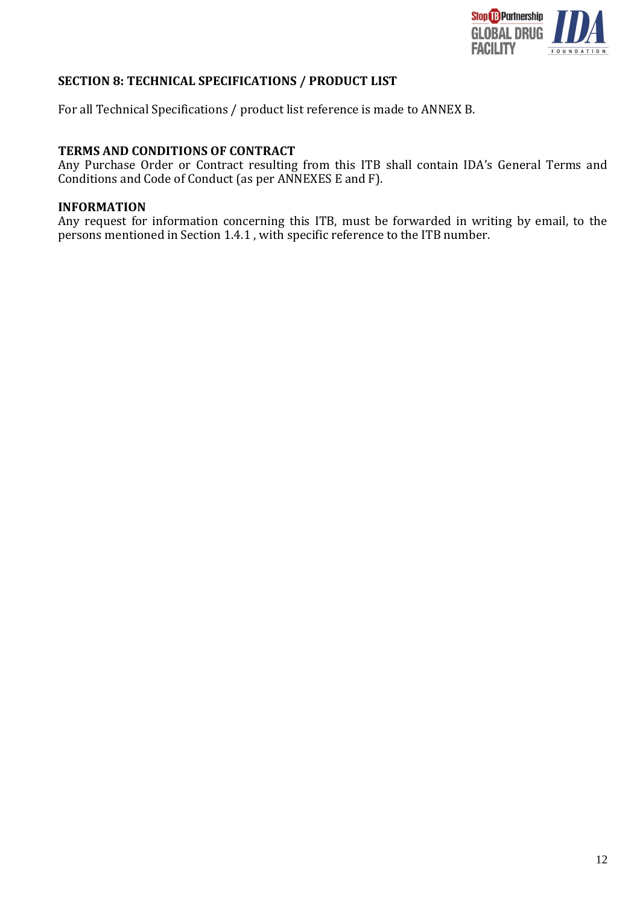

### <span id="page-11-0"></span>**SECTION 8: TECHNICAL SPECIFICATIONS / PRODUCT LIST**

For all Technical Specifications / product list reference is made to ANNEX B.

### **TERMS AND CONDITIONS OF CONTRACT**

Any Purchase Order or Contract resulting from this ITB shall contain IDA's General Terms and Conditions and Code of Conduct (as per ANNEXES E and F).

### **INFORMATION**

Any request for information concerning this ITB, must be forwarded in writing by email, to the persons mentioned in Section 1.4.1 , with specific reference to the ITB number.